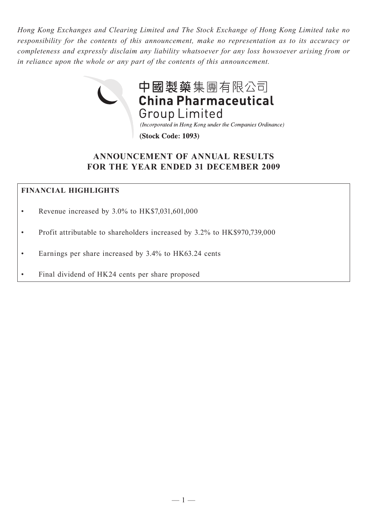*Hong Kong Exchanges and Clearing Limited and The Stock Exchange of Hong Kong Limited take no responsibility for the contents of this announcement, make no representation as to its accuracy or completeness and expressly disclaim any liability whatsoever for any loss howsoever arising from or in reliance upon the whole or any part of the contents of this announcement.*



# **ANNOUNCEMENT OF ANNUAL RESULTS FOR THE YEAR ENDED 31 DECEMBER 2009**

# **FINANCIAL HIGHLIGHTS**

- Revenue increased by 3.0% to HK\$7,031,601,000
- Profit attributable to shareholders increased by 3.2% to HK\$970,739,000
- Earnings per share increased by 3.4% to HK63.24 cents
- Final dividend of HK24 cents per share proposed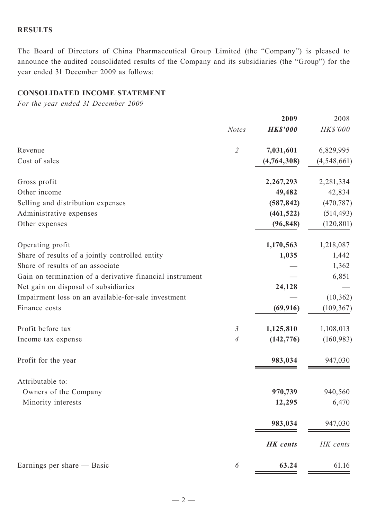## **RESULTS**

The Board of Directors of China Pharmaceutical Group Limited (the "Company") is pleased to announce the audited consolidated results of the Company and its subsidiaries (the "Group") for the year ended 31 December 2009 as follows:

# **CONSOLIDATED INCOME STATEMENT**

*For the year ended 31 December 2009*

|                                                          |                          | 2009            | 2008          |
|----------------------------------------------------------|--------------------------|-----------------|---------------|
|                                                          | <b>Notes</b>             | <b>HK\$'000</b> | HK\$'000      |
| Revenue                                                  | $\overline{2}$           | 7,031,601       | 6,829,995     |
| Cost of sales                                            |                          | (4,764,308)     | (4, 548, 661) |
| Gross profit                                             |                          | 2,267,293       | 2,281,334     |
| Other income                                             |                          | 49,482          | 42,834        |
| Selling and distribution expenses                        |                          | (587, 842)      | (470, 787)    |
| Administrative expenses                                  |                          | (461, 522)      | (514, 493)    |
| Other expenses                                           |                          | (96, 848)       | (120, 801)    |
| Operating profit                                         |                          | 1,170,563       | 1,218,087     |
| Share of results of a jointly controlled entity          |                          | 1,035           | 1,442         |
| Share of results of an associate                         |                          |                 | 1,362         |
| Gain on termination of a derivative financial instrument |                          |                 | 6,851         |
| Net gain on disposal of subsidiaries                     |                          | 24,128          |               |
| Impairment loss on an available-for-sale investment      |                          |                 | (10, 362)     |
| Finance costs                                            |                          | (69, 916)       | (109, 367)    |
| Profit before tax                                        | $\mathfrak{Z}$           | 1,125,810       | 1,108,013     |
| Income tax expense                                       | $\overline{\mathcal{A}}$ | (142, 776)      | (160, 983)    |
| Profit for the year                                      |                          | 983,034         | 947,030       |
| Attributable to:                                         |                          |                 |               |
| Owners of the Company                                    |                          | 970,739         | 940,560       |
| Minority interests                                       |                          | 12,295          | 6,470         |
|                                                          |                          | 983,034         | 947,030       |
|                                                          |                          | <b>HK</b> cents | HK cents      |
| Earnings per share — Basic                               | 6                        | 63.24           | 61.16         |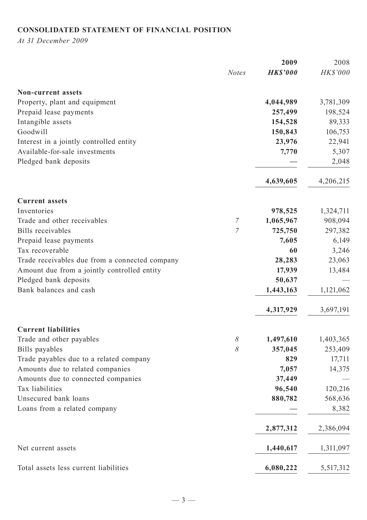# **CONSOLIDATED STATEMENT OF FINANCIAL POSITION**

*At 31 December 2009*

|                                                |                | 2009            | 2008      |
|------------------------------------------------|----------------|-----------------|-----------|
|                                                | <b>Notes</b>   | <b>HK\$'000</b> | HK\$'000  |
| <b>Non-current assets</b>                      |                |                 |           |
| Property, plant and equipment                  |                | 4,044,989       | 3,781,309 |
| Prepaid lease payments                         |                | 257,499         | 198,524   |
| Intangible assets                              |                | 154,528         | 89,333    |
| Goodwill                                       |                | 150,843         | 106,753   |
| Interest in a jointly controlled entity        |                | 23,976          | 22,941    |
| Available-for-sale investments                 |                | 7,770           | 5,307     |
| Pledged bank deposits                          |                |                 | 2,048     |
|                                                |                | 4,639,605       | 4,206,215 |
| <b>Current assets</b>                          |                |                 |           |
| Inventories                                    |                | 978,525         | 1,324,711 |
| Trade and other receivables                    | $\overline{7}$ | 1,065,967       | 908,094   |
| <b>Bills</b> receivables                       | $\overline{7}$ | 725,750         | 297,382   |
| Prepaid lease payments                         |                | 7,605           | 6,149     |
| Tax recoverable                                |                | 60              | 3,246     |
| Trade receivables due from a connected company |                | 28,283          | 23,063    |
| Amount due from a jointly controlled entity    |                | 17,939          | 13,484    |
| Pledged bank deposits                          |                | 50,637          |           |
| Bank balances and cash                         |                | 1,443,163       | 1,121,062 |
|                                                |                | 4,317,929       | 3,697,191 |
| <b>Current liabilities</b>                     |                |                 |           |
| Trade and other payables                       | 8              | 1,497,610       | 1,403,365 |
| Bills payables                                 | 8              | 357,045         | 253,409   |
| Trade payables due to a related company        |                | 829             | 17,711    |
| Amounts due to related companies               |                | 7,057           | 14,375    |
| Amounts due to connected companies             |                | 37,449          |           |
| Tax liabilities                                |                | 96,540          | 120,216   |
| Unsecured bank loans                           |                | 880,782         | 568,636   |
| Loans from a related company                   |                |                 | 8,382     |
|                                                |                | 2,877,312       | 2,386,094 |
| Net current assets                             |                | 1,440,617       | 1,311,097 |
| Total assets less current liabilities          |                | 6,080,222       | 5,517,312 |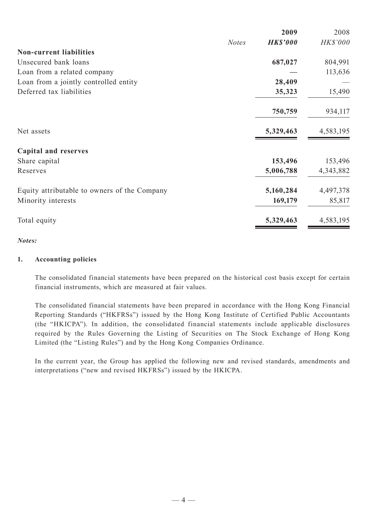|                                              |              | 2009            | 2008      |
|----------------------------------------------|--------------|-----------------|-----------|
|                                              | <b>Notes</b> | <b>HK\$'000</b> | HK\$'000  |
| <b>Non-current liabilities</b>               |              |                 |           |
| Unsecured bank loans                         |              | 687,027         | 804,991   |
| Loan from a related company                  |              |                 | 113,636   |
| Loan from a jointly controlled entity        |              | 28,409          |           |
| Deferred tax liabilities                     |              | 35,323          | 15,490    |
|                                              |              | 750,759         | 934,117   |
| Net assets                                   |              | 5,329,463       | 4,583,195 |
| <b>Capital and reserves</b>                  |              |                 |           |
| Share capital                                |              | 153,496         | 153,496   |
| Reserves                                     |              | 5,006,788       | 4,343,882 |
| Equity attributable to owners of the Company |              | 5,160,284       | 4,497,378 |
| Minority interests                           |              | 169,179         | 85,817    |
| Total equity                                 |              | 5,329,463       | 4,583,195 |
|                                              |              |                 |           |

### *Notes:*

#### **1. Accounting policies**

The consolidated financial statements have been prepared on the historical cost basis except for certain financial instruments, which are measured at fair values.

The consolidated financial statements have been prepared in accordance with the Hong Kong Financial Reporting Standards ("HKFRSs") issued by the Hong Kong Institute of Certified Public Accountants (the "HKICPA"). In addition, the consolidated financial statements include applicable disclosures required by the Rules Governing the Listing of Securities on The Stock Exchange of Hong Kong Limited (the "Listing Rules") and by the Hong Kong Companies Ordinance.

In the current year, the Group has applied the following new and revised standards, amendments and interpretations ("new and revised HKFRSs") issued by the HKICPA.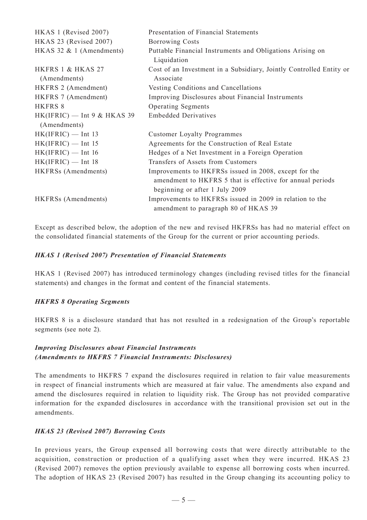| HKAS 1 (Revised 2007)                         | Presentation of Financial Statements                                                                                                                 |
|-----------------------------------------------|------------------------------------------------------------------------------------------------------------------------------------------------------|
| HKAS 23 (Revised 2007)                        | <b>Borrowing Costs</b>                                                                                                                               |
| HKAS 32 $& 1$ (Amendments)                    | Puttable Financial Instruments and Obligations Arising on<br>Liquidation                                                                             |
| HKFRS 1 & HKAS 27<br>(Amendments)             | Cost of an Investment in a Subsidiary, Jointly Controlled Entity or<br>Associate                                                                     |
| HKFRS 2 (Amendment)                           | Vesting Conditions and Cancellations                                                                                                                 |
| HKFRS 7 (Amendment)                           | Improving Disclosures about Financial Instruments                                                                                                    |
| <b>HKFRS 8</b>                                | <b>Operating Segments</b>                                                                                                                            |
| $HK(IFRIC)$ — Int 9 & HKAS 39<br>(Amendments) | <b>Embedded Derivatives</b>                                                                                                                          |
| $HK(IFRIC)$ — Int 13                          | <b>Customer Loyalty Programmes</b>                                                                                                                   |
| $HK(IFRIC)$ — Int 15                          | Agreements for the Construction of Real Estate                                                                                                       |
| $HK(IFRIC)$ — Int 16                          | Hedges of a Net Investment in a Foreign Operation                                                                                                    |
| $HK(IFRIC)$ — Int 18                          | Transfers of Assets from Customers                                                                                                                   |
| HKFRSs (Amendments)                           | Improvements to HKFRSs issued in 2008, except for the<br>amendment to HKFRS 5 that is effective for annual periods<br>beginning or after 1 July 2009 |
| <b>HKFRSs</b> (Amendments)                    | Improvements to HKFRSs issued in 2009 in relation to the<br>amendment to paragraph 80 of HKAS 39                                                     |

Except as described below, the adoption of the new and revised HKFRSs has had no material effect on the consolidated financial statements of the Group for the current or prior accounting periods.

#### *HKAS 1 (Revised 2007) Presentation of Financial Statements*

HKAS 1 (Revised 2007) has introduced terminology changes (including revised titles for the financial statements) and changes in the format and content of the financial statements.

#### *HKFRS 8 Operating Segments*

HKFRS 8 is a disclosure standard that has not resulted in a redesignation of the Group's reportable segments (see note 2).

#### *Improving Disclosures about Financial Instruments (Amendments to HKFRS 7 Financial Instruments: Disclosures)*

The amendments to HKFRS 7 expand the disclosures required in relation to fair value measurements in respect of financial instruments which are measured at fair value. The amendments also expand and amend the disclosures required in relation to liquidity risk. The Group has not provided comparative information for the expanded disclosures in accordance with the transitional provision set out in the amendments.

#### *HKAS 23 (Revised 2007) Borrowing Costs*

In previous years, the Group expensed all borrowing costs that were directly attributable to the acquisition, construction or production of a qualifying asset when they were incurred. HKAS 23 (Revised 2007) removes the option previously available to expense all borrowing costs when incurred. The adoption of HKAS 23 (Revised 2007) has resulted in the Group changing its accounting policy to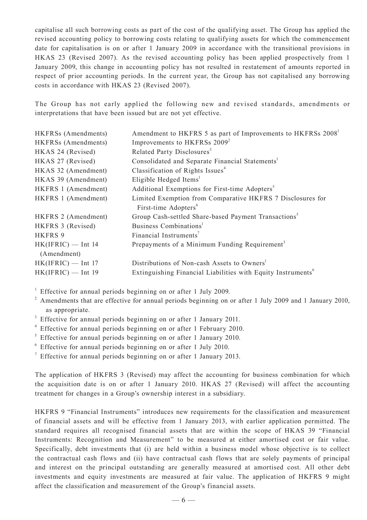capitalise all such borrowing costs as part of the cost of the qualifying asset. The Group has applied the revised accounting policy to borrowing costs relating to qualifying assets for which the commencement date for capitalisation is on or after 1 January 2009 in accordance with the transitional provisions in HKAS 23 (Revised 2007). As the revised accounting policy has been applied prospectively from 1 January 2009, this change in accounting policy has not resulted in restatement of amounts reported in respect of prior accounting periods. In the current year, the Group has not capitalised any borrowing costs in accordance with HKAS 23 (Revised 2007).

The Group has not early applied the following new and revised standards, amendments or interpretations that have been issued but are not yet effective.

| <b>HKFRSs</b> (Amendments) | Amendment to HKFRS 5 as part of Improvements to HKFRSs 2008 <sup>1</sup> |
|----------------------------|--------------------------------------------------------------------------|
| HKFRSs (Amendments)        | Improvements to HKFRSs 2009 <sup>2</sup>                                 |
| HKAS 24 (Revised)          | Related Party Disclosures <sup>3</sup>                                   |
| HKAS 27 (Revised)          | Consolidated and Separate Financial Statements <sup>1</sup>              |
| HKAS 32 (Amendment)        | Classification of Rights Issues <sup>4</sup>                             |
| HKAS 39 (Amendment)        | Eligible Hedged Items <sup>1</sup>                                       |
| HKFRS 1 (Amendment)        | Additional Exemptions for First-time Adopters <sup>5</sup>               |
| HKFRS 1 (Amendment)        | Limited Exemption from Comparative HKFRS 7 Disclosures for               |
|                            | First-time Adopters <sup>6</sup>                                         |
| HKFRS 2 (Amendment)        | Group Cash-settled Share-based Payment Transactions <sup>5</sup>         |
| HKFRS 3 (Revised)          | Business Combinations <sup>1</sup>                                       |
| <b>HKFRS 9</b>             | Financial Instruments <sup>7</sup>                                       |
| $HK(IFRIC)$ — Int 14       | Prepayments of a Minimum Funding Requirement <sup>3</sup>                |
| (Amendment)                |                                                                          |
| $HK(IFRIC)$ — Int 17       | Distributions of Non-cash Assets to Owners <sup>1</sup>                  |
| $HK(IFRIC)$ — Int 19       | Extinguishing Financial Liabilities with Equity Instruments <sup>6</sup> |

<sup>1</sup> Effective for annual periods beginning on or after 1 July 2009.

<sup>2</sup> Amendments that are effective for annual periods beginning on or after 1 July 2009 and 1 January 2010, as appropriate.

- <sup>3</sup> Effective for annual periods beginning on or after 1 January 2011.
- <sup>4</sup> Effective for annual periods beginning on or after 1 February 2010.
- $5$  Effective for annual periods beginning on or after 1 January 2010.
- 6 Effective for annual periods beginning on or after 1 July 2010.

<sup>7</sup> Effective for annual periods beginning on or after 1 January 2013.

The application of HKFRS 3 (Revised) may affect the accounting for business combination for which the acquisition date is on or after 1 January 2010. HKAS 27 (Revised) will affect the accounting treatment for changes in a Group's ownership interest in a subsidiary.

HKFRS 9 "Financial Instruments" introduces new requirements for the classification and measurement of financial assets and will be effective from 1 January 2013, with earlier application permitted. The standard requires all recognised financial assets that are within the scope of HKAS 39 "Financial Instruments: Recognition and Measurement" to be measured at either amortised cost or fair value. Specifically, debt investments that (i) are held within a business model whose objective is to collect the contractual cash flows and (ii) have contractual cash flows that are solely payments of principal and interest on the principal outstanding are generally measured at amortised cost. All other debt investments and equity investments are measured at fair value. The application of HKFRS 9 might affect the classification and measurement of the Group's financial assets.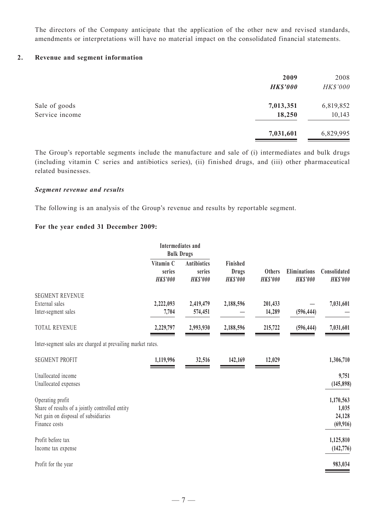The directors of the Company anticipate that the application of the other new and revised standards, amendments or interpretations will have no material impact on the consolidated financial statements.

#### **2. Revenue and segment information**

|                | 2009<br><b>HK\$'000</b> | 2008<br>HK\$'000 |
|----------------|-------------------------|------------------|
| Sale of goods  | 7,013,351               | 6,819,852        |
| Service income | 18,250                  | 10,143           |
|                | 7,031,601               | 6,829,995        |

The Group's reportable segments include the manufacture and sale of (i) intermediates and bulk drugs (including vitamin C series and antibiotics series), (ii) finished drugs, and (iii) other pharmaceutical related businesses.

#### *Segment revenue and results*

The following is an analysis of the Group's revenue and results by reportable segment.

#### **For the year ended 31 December 2009:**

|                                                                                                                              | <b>Intermediates</b> and<br><b>Bulk Drugs</b> |                                                 |                                             |                                  |                                        |                                           |
|------------------------------------------------------------------------------------------------------------------------------|-----------------------------------------------|-------------------------------------------------|---------------------------------------------|----------------------------------|----------------------------------------|-------------------------------------------|
|                                                                                                                              | Vitamin C<br>series<br><b>HK\$'000</b>        | <b>Antibiotics</b><br>series<br><b>HK\$'000</b> | Finished<br><b>Drugs</b><br><b>HK\$'000</b> | <b>Others</b><br><b>HK\$'000</b> | <b>Eliminations</b><br><b>HK\$'000</b> | Consolidated<br><b>HK\$'000</b>           |
| <b>SEGMENT REVENUE</b><br>External sales<br>Inter-segment sales                                                              | 2,222,093<br>7,704                            | 2,419,479<br>574,451                            | 2,188,596                                   | 201,433<br>14,289                | (596, 444)                             | 7,031,601                                 |
| <b>TOTAL REVENUE</b>                                                                                                         | 2,229,797                                     | 2,993,930                                       | 2,188,596                                   | 215,722                          | (596, 444)                             | 7,031,601                                 |
| Inter-segment sales are charged at prevailing market rates.                                                                  |                                               |                                                 |                                             |                                  |                                        |                                           |
| <b>SEGMENT PROFIT</b>                                                                                                        | 1,119,996                                     | 32,516                                          | 142,169                                     | 12,029                           |                                        | 1,306,710                                 |
| Unallocated income<br>Unallocated expenses                                                                                   |                                               |                                                 |                                             |                                  |                                        | 9,751<br>(145, 898)                       |
| Operating profit<br>Share of results of a jointly controlled entity<br>Net gain on disposal of subsidiaries<br>Finance costs |                                               |                                                 |                                             |                                  |                                        | 1,170,563<br>1,035<br>24,128<br>(69, 916) |
| Profit before tax<br>Income tax expense                                                                                      |                                               |                                                 |                                             |                                  |                                        | 1,125,810<br>(142, 776)                   |
| Profit for the year                                                                                                          |                                               |                                                 |                                             |                                  |                                        | 983,034                                   |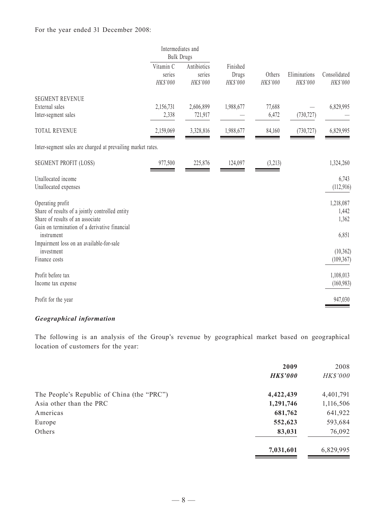### For the year ended 31 December 2008:

|                                                                                                                                                          |                                 | Intermediates and<br><b>Bulk Drugs</b> |                               |                    |            |                             |                          |
|----------------------------------------------------------------------------------------------------------------------------------------------------------|---------------------------------|----------------------------------------|-------------------------------|--------------------|------------|-----------------------------|--------------------------|
|                                                                                                                                                          | Vitamin C<br>series<br>HK\$'000 | Antibiotics<br>series<br>HK\$'000      | Finished<br>Drugs<br>HK\$'000 | Others<br>HK\$'000 |            | Eliminations<br>HK\$'000    | Consolidated<br>HK\$'000 |
| <b>SEGMENT REVENUE</b><br>External sales<br>Inter-segment sales                                                                                          | 2,156,731<br>2,338              | 2,606,899<br>721,917                   | 1,988,677                     | 77,688<br>6,472    | (730, 727) | 6,829,995                   |                          |
| <b>TOTAL REVENUE</b>                                                                                                                                     | 2,159,069                       | 3,328,816                              | 1,988,677                     | 84,160             | (730, 727) | 6,829,995                   |                          |
| Inter-segment sales are charged at prevailing market rates.                                                                                              |                                 |                                        |                               |                    |            |                             |                          |
| <b>SEGMENT PROFIT (LOSS)</b>                                                                                                                             | 977,500                         | 225,876                                | 124,097                       | (3,213)            |            | 1,324,260                   |                          |
| Unallocated income<br>Unallocated expenses                                                                                                               |                                 |                                        |                               |                    |            | 6,743<br>(112, 916)         |                          |
| Operating profit<br>Share of results of a jointly controlled entity<br>Share of results of an associate<br>Gain on termination of a derivative financial |                                 |                                        |                               |                    |            | 1,218,087<br>1,442<br>1,362 |                          |
| instrument<br>Impairment loss on an available-for-sale                                                                                                   |                                 |                                        |                               |                    |            | 6,851                       |                          |
| investment<br>Finance costs                                                                                                                              |                                 |                                        |                               |                    |            | (10, 362)<br>(109, 367)     |                          |
| Profit before tax<br>Income tax expense                                                                                                                  |                                 |                                        |                               |                    |            | 1,108,013<br>(160, 983)     |                          |
| Profit for the year                                                                                                                                      |                                 |                                        |                               |                    |            | 947,030                     |                          |

## *Geographical information*

The following is an analysis of the Group's revenue by geographical market based on geographical location of customers for the year:

|                                            | 2009<br><b>HK\$'000</b> | 2008<br>HK\$'000 |
|--------------------------------------------|-------------------------|------------------|
| The People's Republic of China (the "PRC") | 4,422,439               | 4,401,791        |
| Asia other than the PRC                    | 1,291,746               | 1,116,506        |
| Americas                                   | 681,762                 | 641,922          |
| Europe                                     | 552,623                 | 593,684          |
| Others                                     | 83,031                  | 76,092           |
|                                            | 7,031,601               | 6,829,995        |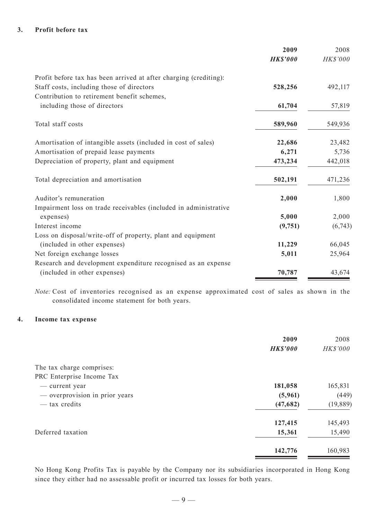#### **3. Profit before tax**

|                                                                   | 2009            | 2008     |
|-------------------------------------------------------------------|-----------------|----------|
|                                                                   | <b>HK\$'000</b> | HK\$'000 |
| Profit before tax has been arrived at after charging (crediting): |                 |          |
| Staff costs, including those of directors                         | 528,256         | 492,117  |
| Contribution to retirement benefit schemes,                       |                 |          |
| including those of directors                                      | 61,704          | 57,819   |
| Total staff costs                                                 | 589,960         | 549,936  |
| Amortisation of intangible assets (included in cost of sales)     | 22,686          | 23,482   |
| Amortisation of prepaid lease payments                            | 6,271           | 5,736    |
| Depreciation of property, plant and equipment                     | 473,234         | 442,018  |
| Total depreciation and amortisation                               | 502,191         | 471,236  |
| Auditor's remuneration                                            | 2,000           | 1,800    |
| Impairment loss on trade receivables (included in administrative  |                 |          |
| expenses)                                                         | 5,000           | 2,000    |
| Interest income                                                   | (9,751)         | (6,743)  |
| Loss on disposal/write-off of property, plant and equipment       |                 |          |
| (included in other expenses)                                      | 11,229          | 66,045   |
| Net foreign exchange losses                                       | 5,011           | 25,964   |
| Research and development expenditure recognised as an expense     |                 |          |
| (included in other expenses)                                      | 70,787          | 43,674   |

*Note:* Cost of inventories recognised as an expense approximated cost of sales as shown in the consolidated income statement for both years.

#### **4. Income tax expense**

|                                | 2009            | 2008      |
|--------------------------------|-----------------|-----------|
|                                | <b>HK\$'000</b> | HK\$'000  |
| The tax charge comprises:      |                 |           |
| PRC Enterprise Income Tax      |                 |           |
| — current year                 | 181,058         | 165,831   |
| - overprovision in prior years | (5,961)         | (449)     |
| — tax credits                  | (47,682)        | (19, 889) |
|                                | 127,415         | 145,493   |
| Deferred taxation              | 15,361          | 15,490    |
|                                | 142,776         | 160,983   |

No Hong Kong Profits Tax is payable by the Company nor its subsidiaries incorporated in Hong Kong since they either had no assessable profit or incurred tax losses for both years.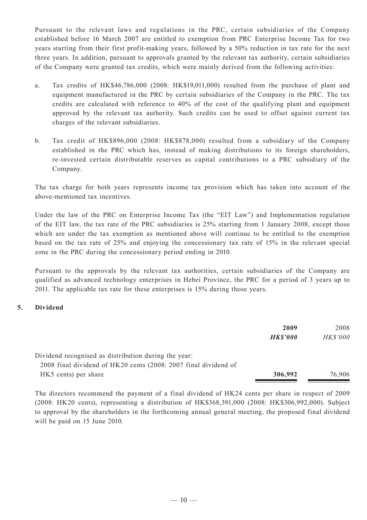Pursuant to the relevant laws and regulations in the PRC, certain subsidiaries of the Company established before 16 March 2007 are entitled to exemption from PRC Enterprise Income Tax for two years starting from their first profit-making years, followed by a 50% reduction in tax rate for the next three years. In addition, pursuant to approvals granted by the relevant tax authority, certain subsidiaries of the Company were granted tax credits, which were mainly derived from the following activities:

- a. Tax credits of HK\$46,786,000 (2008: HK\$19,011,000) resulted from the purchase of plant and equipment manufactured in the PRC by certain subsidiaries of the Company in the PRC. The tax credits are calculated with reference to 40% of the cost of the qualifying plant and equipment approved by the relevant tax authority. Such credits can be used to offset against current tax charges of the relevant subsidiaries.
- b. Tax credit of HK\$896,000 (2008: HK\$878,000) resulted from a subsidiary of the Company established in the PRC which has, instead of making distributions to its foreign shareholders, re-invested certain distributable reserves as capital contributions to a PRC subsidiary of the Company.

The tax charge for both years represents income tax provision which has taken into account of the above-mentioned tax incentives.

Under the law of the PRC on Enterprise Income Tax (the "EIT Law") and Implementation regulation of the EIT law, the tax rate of the PRC subsidiaries is 25% starting from 1 January 2008, except those which are under the tax exemption as mentioned above will continue to be entitled to the exemption based on the tax rate of 25% and enjoying the concessionary tax rate of 15% in the relevant special zone in the PRC during the concessionary period ending in 2010.

Pursuant to the approvals by the relevant tax authorities, certain subsidiaries of the Company are qualified as advanced technology enterprises in Hebei Province, the PRC for a period of 3 years up to 2011. The applicable tax rate for these enterprises is 15% during those years.

## **5. Dividend**

|                                                                                                                         | 2009<br><b>HK\$'000</b> | 2008<br>HK\$'000 |
|-------------------------------------------------------------------------------------------------------------------------|-------------------------|------------------|
| Dividend recognised as distribution during the year:<br>2008 final dividend of HK20 cents (2008: 2007 final dividend of |                         |                  |
| HK5 cents) per share                                                                                                    | 306,992                 | 76,906           |

The directors recommend the payment of a final dividend of HK24 cents per share in respect of 2009 (2008: HK20 cents), representing a distribution of HK\$368,391,000 (2008: HK\$306,992,000). Subject to approval by the shareholders in the forthcoming annual general meeting, the proposed final dividend will be paid on 15 June 2010.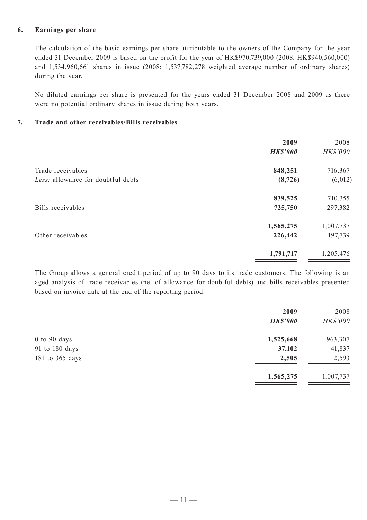#### **6. Earnings per share**

The calculation of the basic earnings per share attributable to the owners of the Company for the year ended 31 December 2009 is based on the profit for the year of HK\$970,739,000 (2008: HK\$940,560,000) and 1,534,960,661 shares in issue (2008: 1,537,782,278 weighted average number of ordinary shares) during the year.

No diluted earnings per share is presented for the years ended 31 December 2008 and 2009 as there were no potential ordinary shares in issue during both years.

### **7. Trade and other receivables/Bills receivables**

|                                    | 2009            | 2008      |
|------------------------------------|-----------------|-----------|
|                                    | <b>HK\$'000</b> | HK\$'000  |
| Trade receivables                  | 848,251         | 716,367   |
| Less: allowance for doubtful debts | (8, 726)        | (6, 012)  |
|                                    | 839,525         | 710,355   |
| Bills receivables                  | 725,750         | 297,382   |
|                                    | 1,565,275       | 1,007,737 |
| Other receivables                  | 226,442         | 197,739   |
|                                    | 1,791,717       | 1,205,476 |
|                                    |                 |           |

The Group allows a general credit period of up to 90 days to its trade customers. The following is an aged analysis of trade receivables (net of allowance for doubtful debts) and bills receivables presented based on invoice date at the end of the reporting period:

|                  | 2009            | 2008      |
|------------------|-----------------|-----------|
|                  | <b>HK\$'000</b> | HK\$'000  |
| $0$ to $90$ days | 1,525,668       | 963,307   |
| 91 to 180 days   | 37,102          | 41,837    |
| 181 to 365 days  | 2,505           | 2,593     |
|                  | 1,565,275       | 1,007,737 |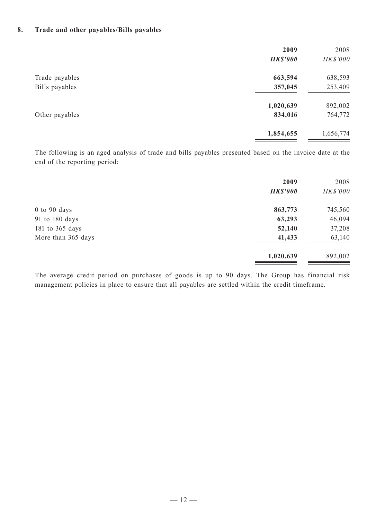#### **8. Trade and other payables/Bills payables**

|                | 2009<br><b>HK\$'000</b> | 2008<br>HK\$'000 |
|----------------|-------------------------|------------------|
| Trade payables | 663,594                 | 638,593          |
| Bills payables | 357,045                 | 253,409          |
|                | 1,020,639               | 892,002          |
| Other payables | 834,016                 | 764,772          |
|                | 1,854,655               | 1,656,774        |

The following is an aged analysis of trade and bills payables presented based on the invoice date at the end of the reporting period:

|                    | 2009<br><b>HK\$'000</b> | 2008<br>HK\$'000 |
|--------------------|-------------------------|------------------|
| $0$ to 90 days     | 863,773                 | 745,560          |
| 91 to 180 days     | 63,293                  | 46,094           |
| 181 to 365 days    | 52,140                  | 37,208           |
| More than 365 days | 41,433                  | 63,140           |
|                    | 1,020,639               | 892,002          |

The average credit period on purchases of goods is up to 90 days. The Group has financial risk management policies in place to ensure that all payables are settled within the credit timeframe.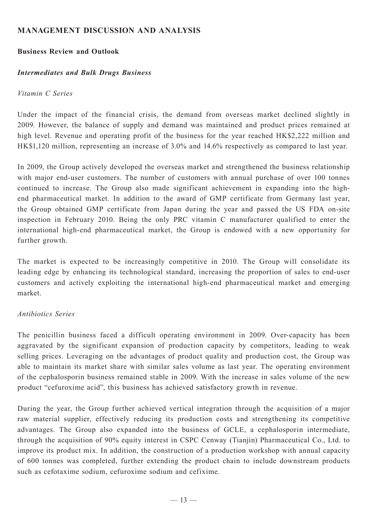# **MANAGEMENT DISCUSSION AND ANALYSIS**

## **Business Review and Outlook**

## *Intermediates and Bulk Drugs Business*

## *Vitamin C Series*

Under the impact of the financial crisis, the demand from overseas market declined slightly in 2009. However, the balance of supply and demand was maintained and product prices remained at high level. Revenue and operating profit of the business for the year reached HK\$2,222 million and HK\$1,120 million, representing an increase of 3.0% and 14.6% respectively as compared to last year.

In 2009, the Group actively developed the overseas market and strengthened the business relationship with major end-user customers. The number of customers with annual purchase of over 100 tonnes continued to increase. The Group also made significant achievement in expanding into the highend pharmaceutical market. In addition to the award of GMP certificate from Germany last year, the Group obtained GMP certificate from Japan during the year and passed the US FDA on-site inspection in February 2010. Being the only PRC vitamin C manufacturer qualified to enter the international high-end pharmaceutical market, the Group is endowed with a new opportunity for further growth.

The market is expected to be increasingly competitive in 2010. The Group will consolidate its leading edge by enhancing its technological standard, increasing the proportion of sales to end-user customers and actively exploiting the international high-end pharmaceutical market and emerging market.

## *Antibiotics Series*

The penicillin business faced a difficult operating environment in 2009. Over-capacity has been aggravated by the significant expansion of production capacity by competitors, leading to weak selling prices. Leveraging on the advantages of product quality and production cost, the Group was able to maintain its market share with similar sales volume as last year. The operating environment of the cephalosporin business remained stable in 2009. With the increase in sales volume of the new product "cefuroxime acid", this business has achieved satisfactory growth in revenue.

During the year, the Group further achieved vertical integration through the acquisition of a major raw material supplier, effectively reducing its production costs and strengthening its competitive advantages. The Group also expanded into the business of GCLE, a cephalosporin intermediate, through the acquisition of 90% equity interest in CSPC Cenway (Tianjin) Pharmaceutical Co., Ltd. to improve its product mix. In addition, the construction of a production workshop with annual capacity of 600 tonnes was completed, further extending the product chain to include downstream products such as cefotaxime sodium, cefuroxime sodium and cefixime.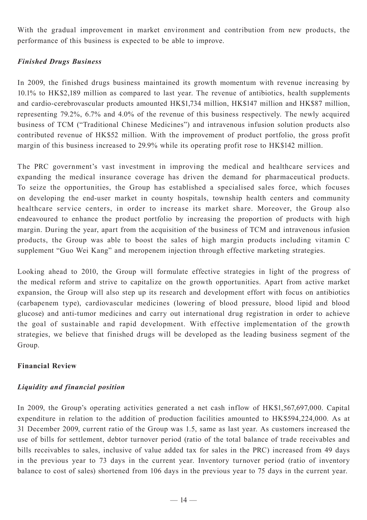With the gradual improvement in market environment and contribution from new products, the performance of this business is expected to be able to improve.

# *Finished Drugs Business*

In 2009, the finished drugs business maintained its growth momentum with revenue increasing by 10.1% to HK\$2,189 million as compared to last year. The revenue of antibiotics, health supplements and cardio-cerebrovascular products amounted HK\$1,734 million, HK\$147 million and HK\$87 million, representing 79.2%, 6.7% and 4.0% of the revenue of this business respectively. The newly acquired business of TCM ("Traditional Chinese Medicines") and intravenous infusion solution products also contributed revenue of HK\$52 million. With the improvement of product portfolio, the gross profit margin of this business increased to 29.9% while its operating profit rose to HK\$142 million.

The PRC government's vast investment in improving the medical and healthcare services and expanding the medical insurance coverage has driven the demand for pharmaceutical products. To seize the opportunities, the Group has established a specialised sales force, which focuses on developing the end-user market in county hospitals, township health centers and community healthcare service centers, in order to increase its market share. Moreover, the Group also endeavoured to enhance the product portfolio by increasing the proportion of products with high margin. During the year, apart from the acquisition of the business of TCM and intravenous infusion products, the Group was able to boost the sales of high margin products including vitamin C supplement "Guo Wei Kang" and meropenem injection through effective marketing strategies.

Looking ahead to 2010, the Group will formulate effective strategies in light of the progress of the medical reform and strive to capitalize on the growth opportunities. Apart from active market expansion, the Group will also step up its research and development effort with focus on antibiotics (carbapenem type), cardiovascular medicines (lowering of blood pressure, blood lipid and blood glucose) and anti-tumor medicines and carry out international drug registration in order to achieve the goal of sustainable and rapid development. With effective implementation of the growth strategies, we believe that finished drugs will be developed as the leading business segment of the Group.

# **Financial Review**

# *Liquidity and financial position*

In 2009, the Group's operating activities generated a net cash inflow of HK\$1,567,697,000. Capital expenditure in relation to the addition of production facilities amounted to HK\$594,224,000. As at 31 December 2009, current ratio of the Group was 1.5, same as last year. As customers increased the use of bills for settlement, debtor turnover period (ratio of the total balance of trade receivables and bills receivables to sales, inclusive of value added tax for sales in the PRC) increased from 49 days in the previous year to 73 days in the current year. Inventory turnover period (ratio of inventory balance to cost of sales) shortened from 106 days in the previous year to 75 days in the current year.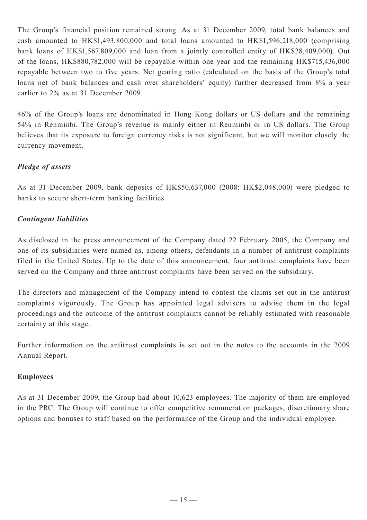The Group's financial position remained strong. As at 31 December 2009, total bank balances and cash amounted to HK\$1,493,800,000 and total loans amounted to HK\$1,596,218,000 (comprising bank loans of HK\$1,567,809,000 and loan from a jointly controlled entity of HK\$28,409,000). Out of the loans, HK\$880,782,000 will be repayable within one year and the remaining HK\$715,436,000 repayable between two to five years. Net gearing ratio (calculated on the basis of the Group's total loans net of bank balances and cash over shareholders' equity) further decreased from 8% a year earlier to 2% as at 31 December 2009.

46% of the Group's loans are denominated in Hong Kong dollars or US dollars and the remaining 54% in Renminbi. The Group's revenue is mainly either in Renminbi or in US dollars. The Group believes that its exposure to foreign currency risks is not significant, but we will monitor closely the currency movement.

# *Pledge of assets*

As at 31 December 2009, bank deposits of HK\$50,637,000 (2008: HK\$2,048,000) were pledged to banks to secure short-term banking facilities.

# *Contingent liabilities*

As disclosed in the press announcement of the Company dated 22 February 2005, the Company and one of its subsidiaries were named as, among others, defendants in a number of antitrust complaints filed in the United States. Up to the date of this announcement, four antitrust complaints have been served on the Company and three antitrust complaints have been served on the subsidiary.

The directors and management of the Company intend to contest the claims set out in the antitrust complaints vigorously. The Group has appointed legal advisers to advise them in the legal proceedings and the outcome of the antitrust complaints cannot be reliably estimated with reasonable certainty at this stage.

Further information on the antitrust complaints is set out in the notes to the accounts in the 2009 Annual Report.

# **Employees**

As at 31 December 2009, the Group had about 10,623 employees. The majority of them are employed in the PRC. The Group will continue to offer competitive remuneration packages, discretionary share options and bonuses to staff based on the performance of the Group and the individual employee.